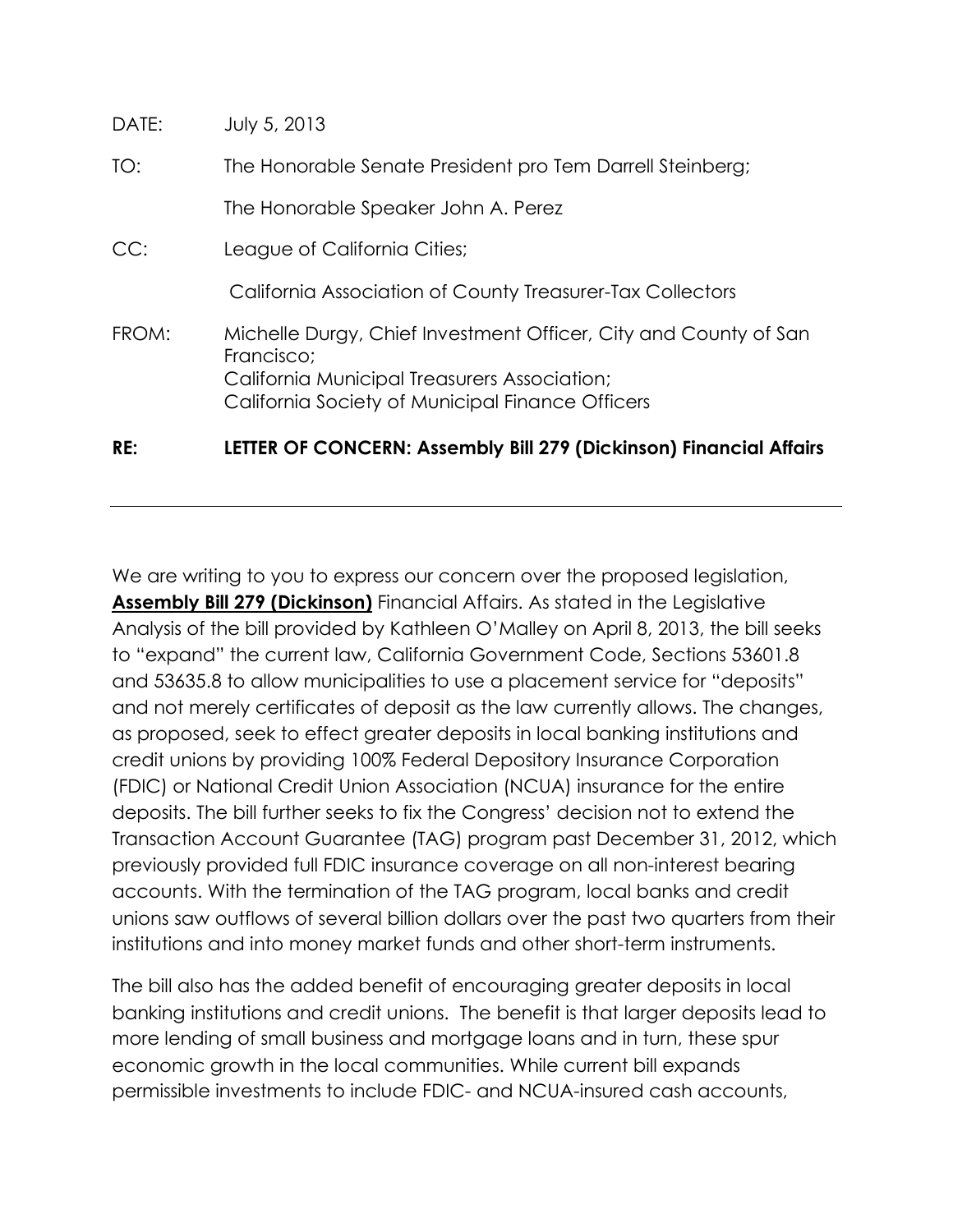| RE:   | <b>LETTER OF CONCERN: Assembly Bill 279 (Dickinson) Financial Affairs</b>                                                                                                          |
|-------|------------------------------------------------------------------------------------------------------------------------------------------------------------------------------------|
| FROM: | Michelle Durgy, Chief Investment Officer, City and County of San<br>Francisco;<br>California Municipal Treasurers Association;<br>California Society of Municipal Finance Officers |
|       | California Association of County Treasurer-Tax Collectors                                                                                                                          |
| CC:   | League of California Cities;                                                                                                                                                       |
|       | The Honorable Speaker John A. Perez                                                                                                                                                |
| TO:   | The Honorable Senate President pro Tem Darrell Steinberg;                                                                                                                          |
| DATE: | July 5, 2013                                                                                                                                                                       |

We are writing to you to express our concern over the proposed legislation, **Assembly Bill 279 (Dickinson)** Financial Affairs. As stated in the Legislative Analysis of the bill provided by Kathleen O'Malley on April 8, 2013, the bill seeks to "expand" the current law, California Government Code, Sections 53601.8 and 53635.8 to allow municipalities to use a placement service for "deposits" and not merely certificates of deposit as the law currently allows. The changes, as proposed, seek to effect greater deposits in local banking institutions and credit unions by providing 100% Federal Depository Insurance Corporation (FDIC) or National Credit Union Association (NCUA) insurance for the entire deposits. The bill further seeks to fix the Congress' decision not to extend the Transaction Account Guarantee (TAG) program past December 31, 2012, which previously provided full FDIC insurance coverage on all non-interest bearing accounts. With the termination of the TAG program, local banks and credit unions saw outflows of several billion dollars over the past two quarters from their institutions and into money market funds and other short-term instruments.

The bill also has the added benefit of encouraging greater deposits in local banking institutions and credit unions. The benefit is that larger deposits lead to more lending of small business and mortgage loans and in turn, these spur economic growth in the local communities. While current bill expands permissible investments to include FDIC- and NCUA-insured cash accounts,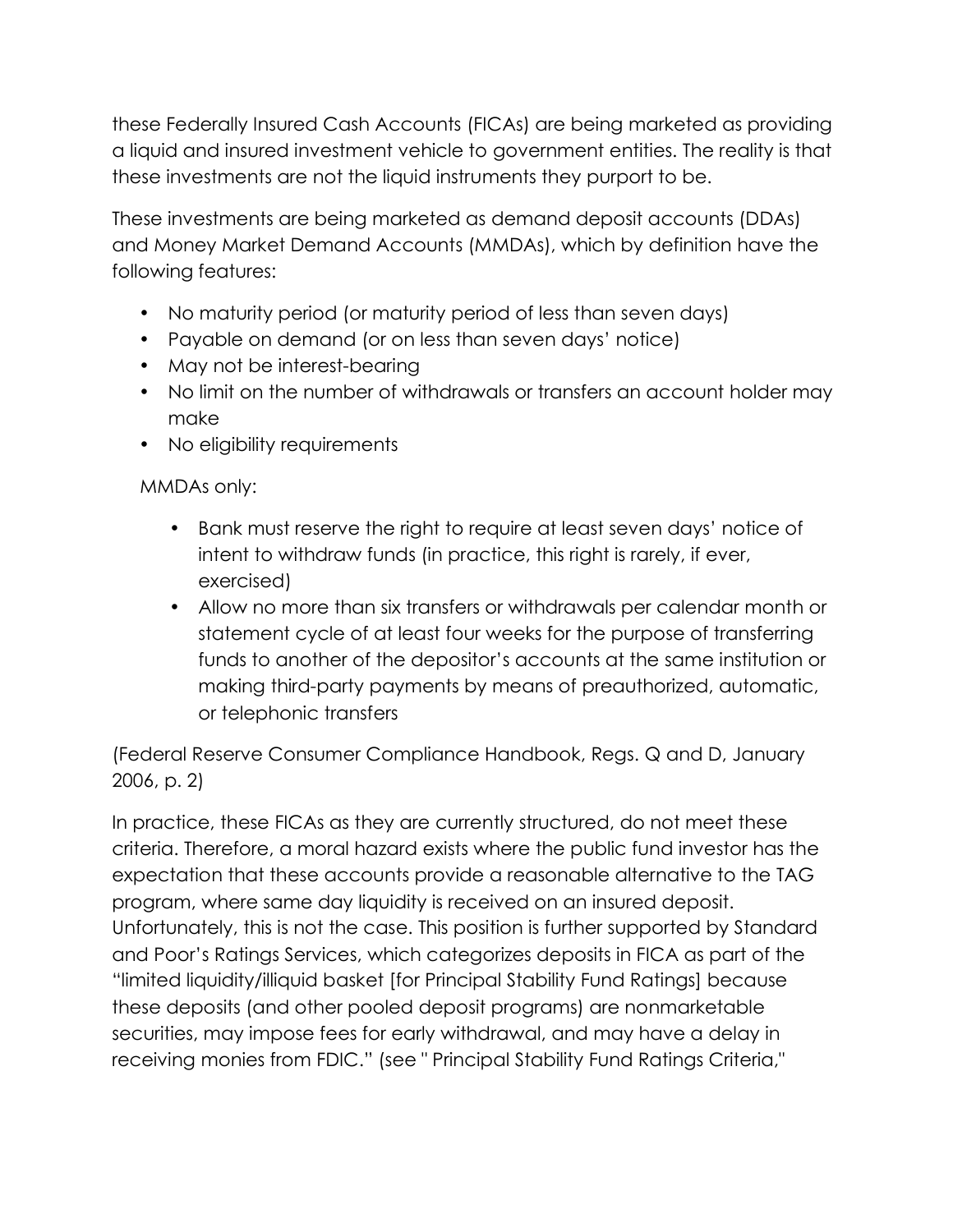these Federally Insured Cash Accounts (FICAs) are being marketed as providing a liquid and insured investment vehicle to government entities. The reality is that these investments are not the liquid instruments they purport to be.

These investments are being marketed as demand deposit accounts (DDAs) and Money Market Demand Accounts (MMDAs), which by definition have the following features:

- No maturity period (or maturity period of less than seven days)
- Payable on demand (or on less than seven days' notice)
- May not be interest-bearing
- No limit on the number of withdrawals or transfers an account holder may make
- No eligibility requirements

## MMDAs only:

- Bank must reserve the right to require at least seven days' notice of intent to withdraw funds (in practice, this right is rarely, if ever, exercised)
- Allow no more than six transfers or withdrawals per calendar month or statement cycle of at least four weeks for the purpose of transferring funds to another of the depositor's accounts at the same institution or making third-party payments by means of preauthorized, automatic, or telephonic transfers

(Federal Reserve Consumer Compliance Handbook, Regs. Q and D, January 2006, p. 2)

In practice, these FICAs as they are currently structured, do not meet these criteria. Therefore, a moral hazard exists where the public fund investor has the expectation that these accounts provide a reasonable alternative to the TAG program, where same day liquidity is received on an insured deposit. Unfortunately, this is not the case. This position is further supported by Standard and Poor's Ratings Services, which categorizes deposits in FICA as part of the "limited liquidity/illiquid basket [for Principal Stability Fund Ratings] because these deposits (and other pooled deposit programs) are nonmarketable securities, may impose fees for early withdrawal, and may have a delay in receiving monies from FDIC." (see " Principal Stability Fund Ratings Criteria,"